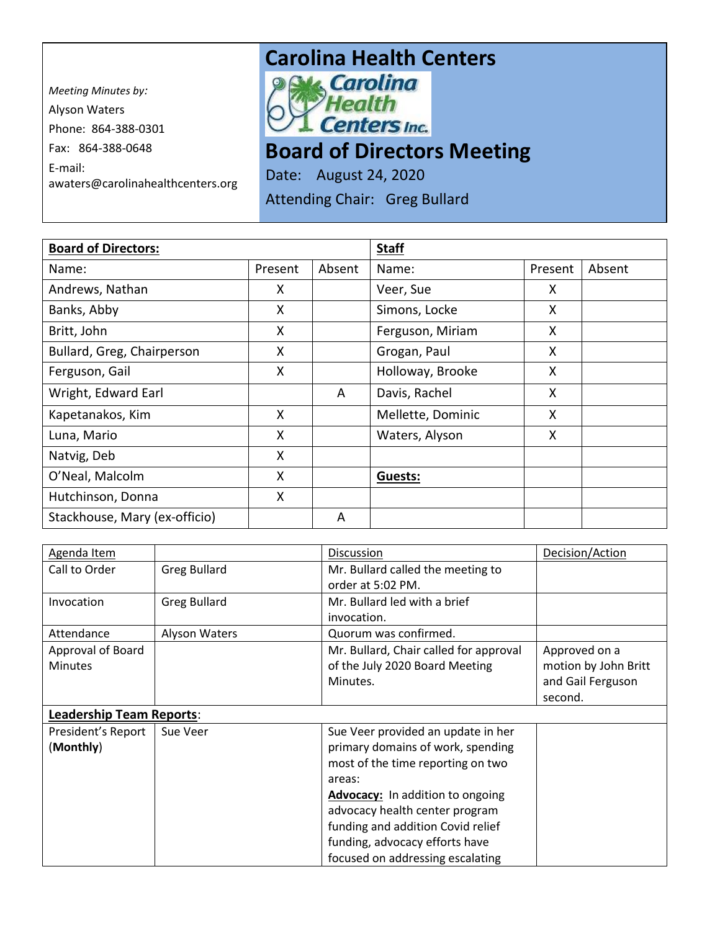*Meeting Minutes by:*  Alyson Waters Phone: 864-388-0301 Fax: 864-388-0648 E-mail: awaters@carolinahealthcenters.org

## **Carolina Health Centers**<br> **Pows Carolina**



**Board of Directors Meeting** 

Date: August 24, 2020

Attending Chair: Greg Bullard

| <b>Board of Directors:</b>    |         |        | <b>Staff</b>      |         |        |
|-------------------------------|---------|--------|-------------------|---------|--------|
| Name:                         | Present | Absent | Name:             | Present | Absent |
| Andrews, Nathan               | X       |        | Veer, Sue         | X       |        |
| Banks, Abby                   | X       |        | Simons, Locke     | X       |        |
| Britt, John                   | X       |        | Ferguson, Miriam  | X       |        |
| Bullard, Greg, Chairperson    | Χ       |        | Grogan, Paul      | X       |        |
| Ferguson, Gail                | X       |        | Holloway, Brooke  | X       |        |
| Wright, Edward Earl           |         | A      | Davis, Rachel     | X       |        |
| Kapetanakos, Kim              | X       |        | Mellette, Dominic | X       |        |
| Luna, Mario                   | Χ       |        | Waters, Alyson    | X.      |        |
| Natvig, Deb                   | X       |        |                   |         |        |
| O'Neal, Malcolm               | X       |        | Guests:           |         |        |
| Hutchinson, Donna             | X       |        |                   |         |        |
| Stackhouse, Mary (ex-officio) |         | A      |                   |         |        |

| Agenda Item                     |                     | Discussion                              | Decision/Action      |
|---------------------------------|---------------------|-----------------------------------------|----------------------|
| Call to Order                   | <b>Greg Bullard</b> | Mr. Bullard called the meeting to       |                      |
|                                 |                     | order at 5:02 PM.                       |                      |
| Invocation                      | <b>Greg Bullard</b> | Mr. Bullard led with a brief            |                      |
|                                 |                     | invocation.                             |                      |
| Attendance                      | Alyson Waters       | Quorum was confirmed.                   |                      |
| Approval of Board               |                     | Mr. Bullard, Chair called for approval  | Approved on a        |
| <b>Minutes</b>                  |                     | of the July 2020 Board Meeting          | motion by John Britt |
|                                 |                     | Minutes.                                | and Gail Ferguson    |
|                                 |                     |                                         | second.              |
| <b>Leadership Team Reports:</b> |                     |                                         |                      |
| President's Report              | Sue Veer            | Sue Veer provided an update in her      |                      |
| (Monthly)                       |                     | primary domains of work, spending       |                      |
|                                 |                     | most of the time reporting on two       |                      |
|                                 |                     | areas:                                  |                      |
|                                 |                     | <b>Advocacy:</b> In addition to ongoing |                      |
|                                 |                     | advocacy health center program          |                      |
|                                 |                     | funding and addition Covid relief       |                      |
|                                 |                     | funding, advocacy efforts have          |                      |
|                                 |                     | focused on addressing escalating        |                      |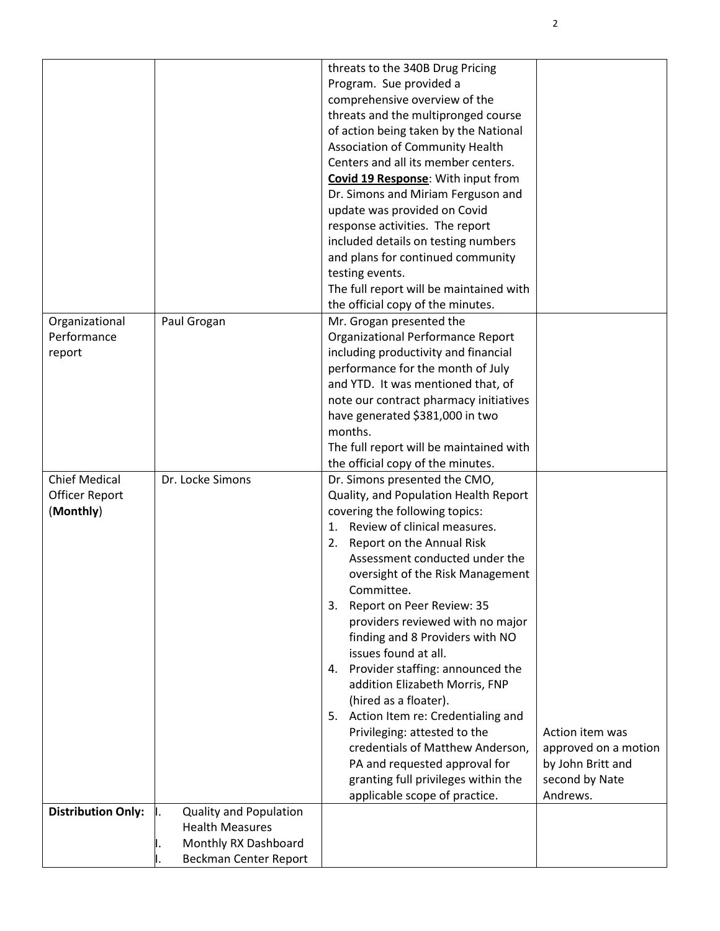|                           |                                                         | threats to the 340B Drug Pricing        |                      |
|---------------------------|---------------------------------------------------------|-----------------------------------------|----------------------|
|                           |                                                         | Program. Sue provided a                 |                      |
|                           |                                                         | comprehensive overview of the           |                      |
|                           |                                                         | threats and the multipronged course     |                      |
|                           |                                                         | of action being taken by the National   |                      |
|                           |                                                         | Association of Community Health         |                      |
|                           |                                                         | Centers and all its member centers.     |                      |
|                           |                                                         | Covid 19 Response: With input from      |                      |
|                           |                                                         | Dr. Simons and Miriam Ferguson and      |                      |
|                           |                                                         | update was provided on Covid            |                      |
|                           |                                                         | response activities. The report         |                      |
|                           |                                                         | included details on testing numbers     |                      |
|                           |                                                         | and plans for continued community       |                      |
|                           |                                                         | testing events.                         |                      |
|                           |                                                         | The full report will be maintained with |                      |
|                           |                                                         | the official copy of the minutes.       |                      |
| Organizational            | Paul Grogan                                             | Mr. Grogan presented the                |                      |
| Performance               |                                                         | Organizational Performance Report       |                      |
| report                    |                                                         | including productivity and financial    |                      |
|                           |                                                         | performance for the month of July       |                      |
|                           |                                                         | and YTD. It was mentioned that, of      |                      |
|                           |                                                         | note our contract pharmacy initiatives  |                      |
|                           |                                                         | have generated \$381,000 in two         |                      |
|                           |                                                         | months.                                 |                      |
|                           |                                                         | The full report will be maintained with |                      |
|                           |                                                         | the official copy of the minutes.       |                      |
| <b>Chief Medical</b>      | Dr. Locke Simons                                        | Dr. Simons presented the CMO,           |                      |
| Officer Report            |                                                         | Quality, and Population Health Report   |                      |
| (Monthly)                 |                                                         | covering the following topics:          |                      |
|                           |                                                         | 1. Review of clinical measures.         |                      |
|                           |                                                         | Report on the Annual Risk<br>2.         |                      |
|                           |                                                         | Assessment conducted under the          |                      |
|                           |                                                         | oversight of the Risk Management        |                      |
|                           |                                                         | Committee.                              |                      |
|                           |                                                         | Report on Peer Review: 35<br>3.         |                      |
|                           |                                                         | providers reviewed with no major        |                      |
|                           |                                                         | finding and 8 Providers with NO         |                      |
|                           |                                                         | issues found at all.                    |                      |
|                           |                                                         | 4. Provider staffing: announced the     |                      |
|                           |                                                         | addition Elizabeth Morris, FNP          |                      |
|                           |                                                         | (hired as a floater).                   |                      |
|                           |                                                         | Action Item re: Credentialing and<br>5. |                      |
|                           |                                                         | Privileging: attested to the            | Action item was      |
|                           |                                                         | credentials of Matthew Anderson,        | approved on a motion |
|                           |                                                         | PA and requested approval for           | by John Britt and    |
|                           |                                                         | granting full privileges within the     | second by Nate       |
|                           |                                                         | applicable scope of practice.           | Andrews.             |
| <b>Distribution Only:</b> | <b>Quality and Population</b><br><b>Health Measures</b> |                                         |                      |
|                           | Monthly RX Dashboard                                    |                                         |                      |
|                           | Beckman Center Report                                   |                                         |                      |
|                           |                                                         |                                         |                      |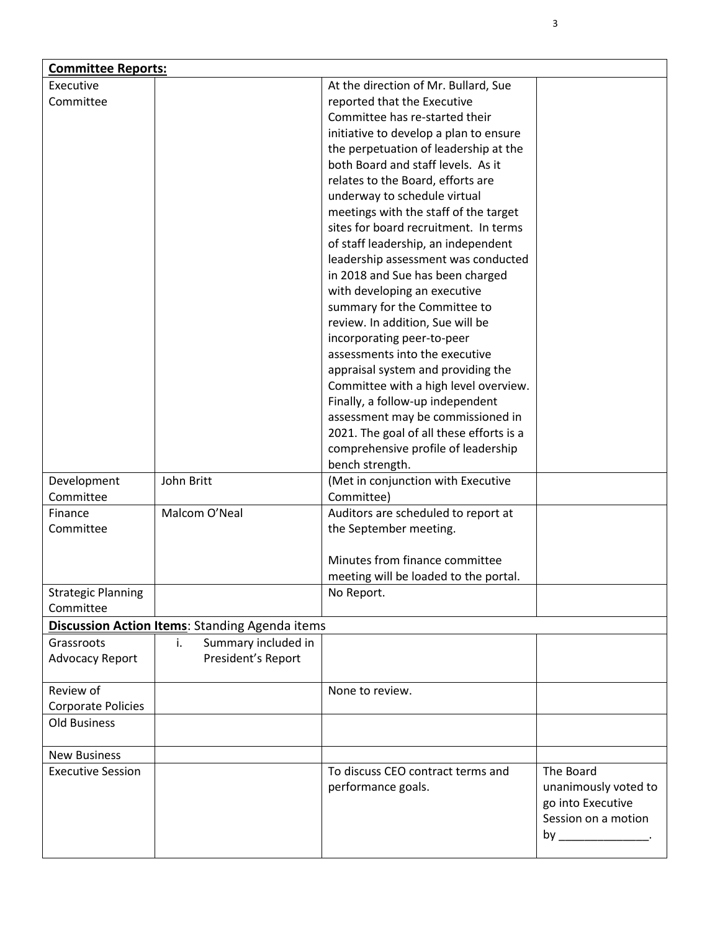| <b>Committee Reports:</b> |                                                       |                                          |                         |  |
|---------------------------|-------------------------------------------------------|------------------------------------------|-------------------------|--|
| Executive                 |                                                       | At the direction of Mr. Bullard, Sue     |                         |  |
| Committee                 |                                                       | reported that the Executive              |                         |  |
|                           |                                                       | Committee has re-started their           |                         |  |
|                           |                                                       | initiative to develop a plan to ensure   |                         |  |
|                           |                                                       | the perpetuation of leadership at the    |                         |  |
|                           |                                                       | both Board and staff levels. As it       |                         |  |
|                           |                                                       | relates to the Board, efforts are        |                         |  |
|                           |                                                       | underway to schedule virtual             |                         |  |
|                           |                                                       | meetings with the staff of the target    |                         |  |
|                           |                                                       | sites for board recruitment. In terms    |                         |  |
|                           |                                                       | of staff leadership, an independent      |                         |  |
|                           |                                                       | leadership assessment was conducted      |                         |  |
|                           |                                                       | in 2018 and Sue has been charged         |                         |  |
|                           |                                                       | with developing an executive             |                         |  |
|                           |                                                       | summary for the Committee to             |                         |  |
|                           |                                                       |                                          |                         |  |
|                           |                                                       | review. In addition, Sue will be         |                         |  |
|                           |                                                       | incorporating peer-to-peer               |                         |  |
|                           |                                                       | assessments into the executive           |                         |  |
|                           |                                                       | appraisal system and providing the       |                         |  |
|                           |                                                       | Committee with a high level overview.    |                         |  |
|                           |                                                       | Finally, a follow-up independent         |                         |  |
|                           |                                                       | assessment may be commissioned in        |                         |  |
|                           |                                                       | 2021. The goal of all these efforts is a |                         |  |
|                           |                                                       | comprehensive profile of leadership      |                         |  |
|                           |                                                       | bench strength.                          |                         |  |
| Development               | John Britt                                            | (Met in conjunction with Executive       |                         |  |
| Committee                 |                                                       | Committee)                               |                         |  |
| Finance                   | Malcom O'Neal                                         | Auditors are scheduled to report at      |                         |  |
| Committee                 |                                                       | the September meeting.                   |                         |  |
|                           |                                                       |                                          |                         |  |
|                           |                                                       | Minutes from finance committee           |                         |  |
|                           |                                                       | meeting will be loaded to the portal.    |                         |  |
| <b>Strategic Planning</b> |                                                       | No Report.                               |                         |  |
| Committee                 |                                                       |                                          |                         |  |
|                           | <b>Discussion Action Items: Standing Agenda items</b> |                                          |                         |  |
| Grassroots                | Summary included in<br>i.                             |                                          |                         |  |
| <b>Advocacy Report</b>    | President's Report                                    |                                          |                         |  |
|                           |                                                       |                                          |                         |  |
| Review of                 |                                                       | None to review.                          |                         |  |
| Corporate Policies        |                                                       |                                          |                         |  |
| Old Business              |                                                       |                                          |                         |  |
|                           |                                                       |                                          |                         |  |
| <b>New Business</b>       |                                                       |                                          |                         |  |
| <b>Executive Session</b>  |                                                       | To discuss CEO contract terms and        | The Board               |  |
|                           |                                                       | performance goals.                       | unanimously voted to    |  |
|                           |                                                       |                                          | go into Executive       |  |
|                           |                                                       |                                          | Session on a motion     |  |
|                           |                                                       |                                          | by ____________________ |  |
|                           |                                                       |                                          |                         |  |

3